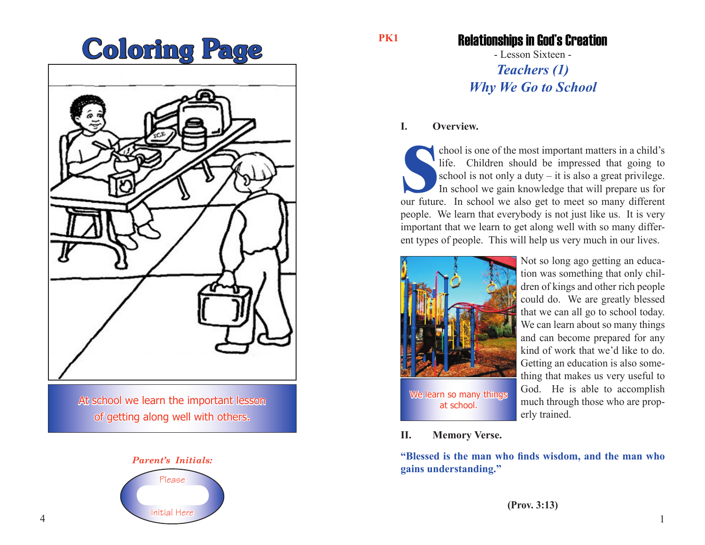# Coloring Page



At school we learn the important lesson of getting along well with others.



**PK1**

## Relationships in God's Creation

- Lesson Sixteen - *Teachers (1) Why We Go to School*

#### **I. Overview.**

chool is one of the most important matters in a child's<br>life. Children should be impressed that going to<br>school is not only a duty – it is also a great privilege.<br>In school we gain knowledge that will prepare us for<br>our fu chool is one of the most important matters in a child's life. Children should be impressed that going to school is not only a duty  $-$  it is also a great privilege. In school we gain knowledge that will prepare us for people. We learn that everybody is not just like us. It is very important that we learn to get along well with so many different types of people. This will help us very much in our lives.



Not so long ago getting an education was something that only children of kings and other rich people could do. We are greatly blessed that we can all go to school today. We can learn about so many things and can become prepared for any kind of work that we'd like to do. Getting an education is also something that makes us very useful to God. He is able to accomplish much through those who are properly trained.

**II. Memory Verse.**

**"Blessed is the man who finds wisdom, and the man who gains understanding."**